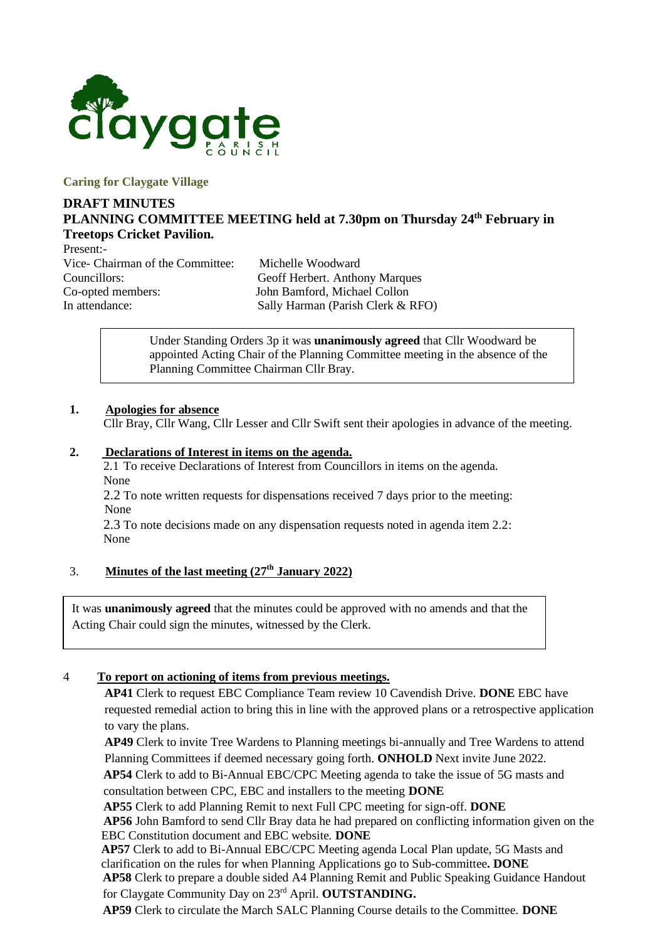

**Caring for Claygate Village**

### **DRAFT MINUTES PLANNING COMMITTEE MEETING held at 7.30pm on Thursday 24th February in Treetops Cricket Pavilion.**

Present:- Vice- Chairman of the Committee: Michelle Woodward Councillors: Geoff Herbert. Anthony Marques Co-opted members: John Bamford, Michael Collon

In attendance: Sally Harman (Parish Clerk & RFO)

Under Standing Orders 3p it was **unanimously agreed** that Cllr Woodward be appointed Acting Chair of the Planning Committee meeting in the absence of the Planning Committee Chairman Cllr Bray.

#### **1. Apologies for absence**

Cllr Bray, Cllr Wang, Cllr Lesser and Cllr Swift sent their apologies in advance of the meeting.

#### **2. Declarations of Interest in items on the agenda.**

2.1 To receive Declarations of Interest from Councillors in items on the agenda. None

2.2 To note written requests for dispensations received 7 days prior to the meeting: None

2.3 To note decisions made on any dispensation requests noted in agenda item 2.2: None

# 3. **Minutes of the last meeting (27th January 2022)**

It was **unanimously agreed** that the minutes could be approved with no amends and that the Acting Chair could sign the minutes, witnessed by the Clerk.

#### 4 **To report on actioning of items from previous meetings.**

**AP41** Clerk to request EBC Compliance Team review 10 Cavendish Drive. **DONE** EBC have requested remedial action to bring this in line with the approved plans or a retrospective application to vary the plans.

**AP49** Clerk to invite Tree Wardens to Planning meetings bi-annually and Tree Wardens to attend Planning Committees if deemed necessary going forth. **ONHOLD** Next invite June 2022.

**AP54** Clerk to add to Bi-Annual EBC/CPC Meeting agenda to take the issue of 5G masts and consultation between CPC, EBC and installers to the meeting **DONE**

**AP55** Clerk to add Planning Remit to next Full CPC meeting for sign-off. **DONE**

**AP56** John Bamford to send Cllr Bray data he had prepared on conflicting information given on the EBC Constitution document and EBC website. **DONE**

**AP57** Clerk to add to Bi-Annual EBC/CPC Meeting agenda Local Plan update, 5G Masts and clarification on the rules for when Planning Applications go to Sub-committee**. DONE AP58** Clerk to prepare a double sided A4 Planning Remit and Public Speaking Guidance Handout for Claygate Community Day on 23rd April. **OUTSTANDING.**

**AP59** Clerk to circulate the March SALC Planning Course details to the Committee. **DONE**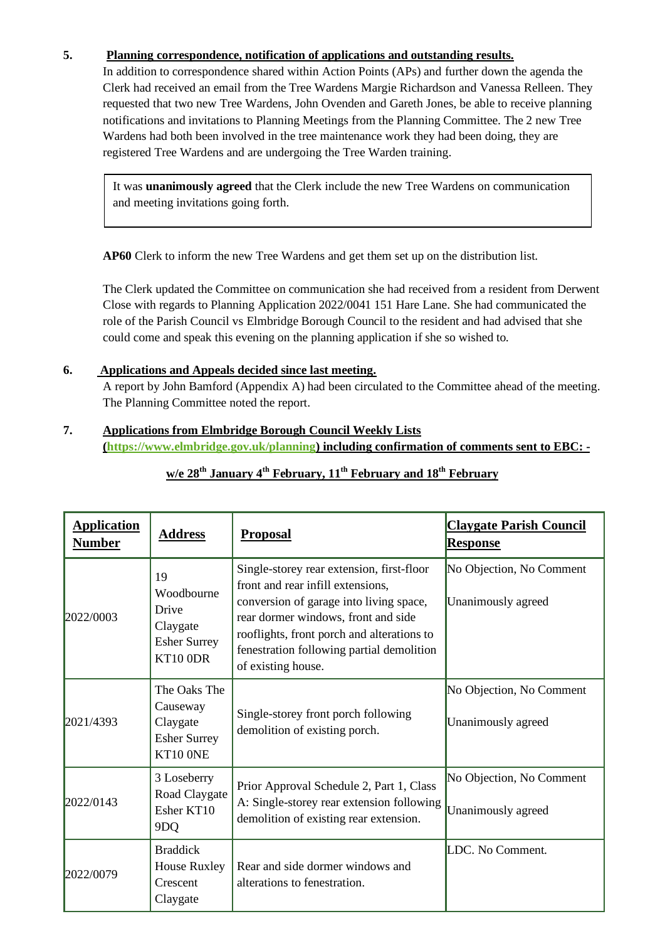# **5. Planning correspondence, notification of applications and outstanding results.**

In addition to correspondence shared within Action Points (APs) and further down the agenda the Clerk had received an email from the Tree Wardens Margie Richardson and Vanessa Relleen. They requested that two new Tree Wardens, John Ovenden and Gareth Jones, be able to receive planning notifications and invitations to Planning Meetings from the Planning Committee. The 2 new Tree Wardens had both been involved in the tree maintenance work they had been doing, they are registered Tree Wardens and are undergoing the Tree Warden training.

It was **unanimously agreed** that the Clerk include the new Tree Wardens on communication and meeting invitations going forth.

**AP60** Clerk to inform the new Tree Wardens and get them set up on the distribution list.

The Clerk updated the Committee on communication she had received from a resident from Derwent Close with regards to Planning Application 2022/0041 151 Hare Lane. She had communicated the role of the Parish Council vs Elmbridge Borough Council to the resident and had advised that she could come and speak this evening on the planning application if she so wished to.

#### **6. Applications and Appeals decided since last meeting.**

A report by John Bamford (Appendix A) had been circulated to the Committee ahead of the meeting. The Planning Committee noted the report.

#### **7. Applications from Elmbridge Borough Council Weekly Lists [\(https://www.elmbridge.gov.uk/planning\)](https://www.elmbridge.gov.uk/planning) including confirmation of comments sent to EBC: -**

| <b>Application</b><br><b>Number</b> | <b>Address</b>                                                           | <b>Proposal</b>                                                                                                                                                                                                                                                                   | <b>Claygate Parish Council</b><br><b>Response</b> |
|-------------------------------------|--------------------------------------------------------------------------|-----------------------------------------------------------------------------------------------------------------------------------------------------------------------------------------------------------------------------------------------------------------------------------|---------------------------------------------------|
| 2022/0003                           | 19<br>Woodbourne<br>Drive<br>Claygate<br><b>Esher Surrey</b><br>KT10 0DR | Single-storey rear extension, first-floor<br>front and rear infill extensions,<br>conversion of garage into living space,<br>rear dormer windows, front and side<br>rooflights, front porch and alterations to<br>fenestration following partial demolition<br>of existing house. | No Objection, No Comment<br>Unanimously agreed    |
| 2021/4393                           | The Oaks The<br>Causeway<br>Claygate<br><b>Esher Surrey</b><br>KT10 ONE  | Single-storey front porch following<br>demolition of existing porch.                                                                                                                                                                                                              | No Objection, No Comment<br>Unanimously agreed    |
| 2022/0143                           | 3 Loseberry<br>Road Claygate<br>Esher KT10<br>9DQ                        | Prior Approval Schedule 2, Part 1, Class<br>A: Single-storey rear extension following<br>demolition of existing rear extension.                                                                                                                                                   | No Objection, No Comment<br>Unanimously agreed    |
| 2022/0079                           | <b>Braddick</b><br><b>House Ruxley</b><br>Crescent<br>Claygate           | Rear and side dormer windows and<br>alterations to fenestration.                                                                                                                                                                                                                  | LDC. No Comment.                                  |

# **w/e 28th January 4 th February, 11th February and 18th February**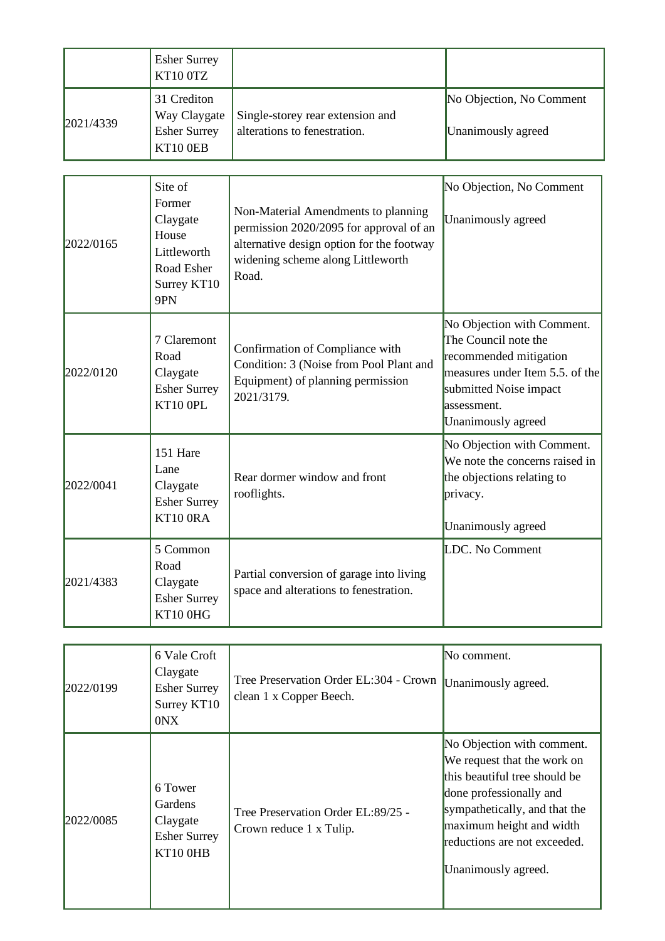|           | <b>Esher Surrey</b><br>KT10 0TZ |                                  |                          |
|-----------|---------------------------------|----------------------------------|--------------------------|
| 2021/4339 | 31 Crediton<br>Way Claygate     | Single-storey rear extension and | No Objection, No Comment |
|           | <b>Esher Surrey</b><br>KT10 0EB | alterations to fenestration.     | Unanimously agreed       |

| 2022/0165 | Site of<br>Former<br>Claygate<br>House<br>Littleworth<br>Road Esher<br>Surrey KT10<br>9PN | Non-Material Amendments to planning<br>permission 2020/2095 for approval of an<br>alternative design option for the footway<br>widening scheme along Littleworth<br>Road. | No Objection, No Comment<br>Unanimously agreed                                                                                                                                 |
|-----------|-------------------------------------------------------------------------------------------|---------------------------------------------------------------------------------------------------------------------------------------------------------------------------|--------------------------------------------------------------------------------------------------------------------------------------------------------------------------------|
| 2022/0120 | 7 Claremont<br>Road<br>Claygate<br><b>Esher Surrey</b><br>KT10 OPL                        | Confirmation of Compliance with<br>Condition: 3 (Noise from Pool Plant and<br>Equipment) of planning permission<br>2021/3179.                                             | No Objection with Comment.<br>The Council note the<br>recommended mitigation<br>measures under Item 5.5. of the<br>submitted Noise impact<br>assessment.<br>Unanimously agreed |
| 2022/0041 | 151 Hare<br>Lane<br>Claygate<br><b>Esher Surrey</b><br>KT10 ORA                           | Rear dormer window and front<br>rooflights.                                                                                                                               | No Objection with Comment.<br>We note the concerns raised in<br>the objections relating to<br>privacy.<br>Unanimously agreed                                                   |
| 2021/4383 | 5 Common<br>Road<br>Claygate<br><b>Esher Surrey</b><br>KT10 0HG                           | Partial conversion of garage into living<br>space and alterations to fenestration.                                                                                        | LDC. No Comment                                                                                                                                                                |

| 2022/0199 | 6 Vale Croft<br>Claygate<br><b>Esher Surrey</b><br>Surrey KT10<br>0NX    | Tree Preservation Order EL:304 - Crown<br>clean 1 x Copper Beech. | No comment.<br>Unanimously agreed.                                                                                                                                                                                                        |
|-----------|--------------------------------------------------------------------------|-------------------------------------------------------------------|-------------------------------------------------------------------------------------------------------------------------------------------------------------------------------------------------------------------------------------------|
| 2022/0085 | 6 Tower<br><b>Gardens</b><br>Claygate<br><b>Esher Surrey</b><br>KT10 OHB | Tree Preservation Order EL:89/25 -<br>Crown reduce 1 x Tulip.     | No Objection with comment.<br>We request that the work on<br>this beautiful tree should be<br>done professionally and<br>sympathetically, and that the<br>maximum height and width<br>reductions are not exceeded.<br>Unanimously agreed. |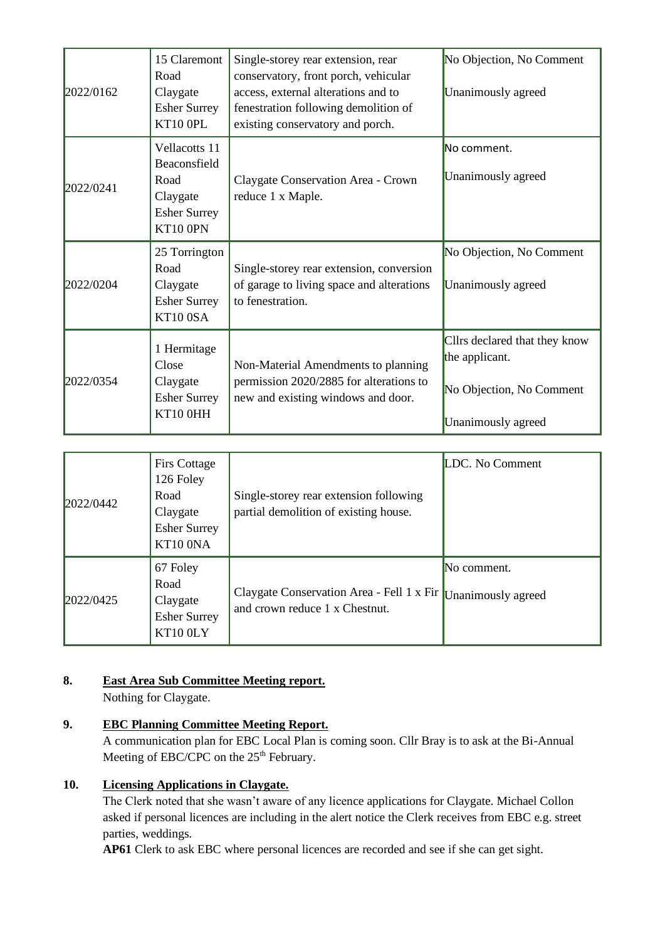| 2022/0162 | 15 Claremont<br>Road<br>Claygate<br><b>Esher Surrey</b><br>KT10 OPL                  | Single-storey rear extension, rear<br>conservatory, front porch, vehicular<br>access, external alterations and to<br>fenestration following demolition of<br>existing conservatory and porch. | No Objection, No Comment<br>Unanimously agreed                                                    |
|-----------|--------------------------------------------------------------------------------------|-----------------------------------------------------------------------------------------------------------------------------------------------------------------------------------------------|---------------------------------------------------------------------------------------------------|
| 2022/0241 | Vellacotts 11<br>Beaconsfield<br>Road<br>Claygate<br><b>Esher Surrey</b><br>KT10 0PN | Claygate Conservation Area - Crown<br>reduce 1 x Maple.                                                                                                                                       | No comment.<br>Unanimously agreed                                                                 |
| 2022/0204 | 25 Torrington<br>Road<br>Claygate<br><b>Esher Surrey</b><br>KT100SA                  | Single-storey rear extension, conversion<br>of garage to living space and alterations<br>to fenestration.                                                                                     | No Objection, No Comment<br>Unanimously agreed                                                    |
| 2022/0354 | 1 Hermitage<br>Close<br>Claygate<br><b>Esher Surrey</b><br>KT10 0HH                  | Non-Material Amendments to planning<br>permission 2020/2885 for alterations to<br>new and existing windows and door.                                                                          | Cllrs declared that they know<br>the applicant.<br>No Objection, No Comment<br>Unanimously agreed |

| 2022/0442 | <b>Firs Cottage</b><br>126 Foley<br>Road<br>Claygate<br><b>Esher Surrey</b><br>KT10 ONA | Single-storey rear extension following<br>partial demolition of existing house. | LDC. No Comment                   |
|-----------|-----------------------------------------------------------------------------------------|---------------------------------------------------------------------------------|-----------------------------------|
| 2022/0425 | 67 Foley<br>Road<br>Claygate<br><b>Esher Surrey</b><br>KT10 0LY                         | Claygate Conservation Area - Fell 1 x Fir<br>and crown reduce 1 x Chestnut.     | No comment.<br>Unanimously agreed |

# **8. East Area Sub Committee Meeting report.**

Nothing for Claygate.

# **9. EBC Planning Committee Meeting Report.**

A communication plan for EBC Local Plan is coming soon. Cllr Bray is to ask at the Bi-Annual Meeting of EBC/CPC on the  $25<sup>th</sup>$  February.

# **10. Licensing Applications in Claygate.**

The Clerk noted that she wasn't aware of any licence applications for Claygate. Michael Collon asked if personal licences are including in the alert notice the Clerk receives from EBC e.g. street parties, weddings.

**AP61** Clerk to ask EBC where personal licences are recorded and see if she can get sight.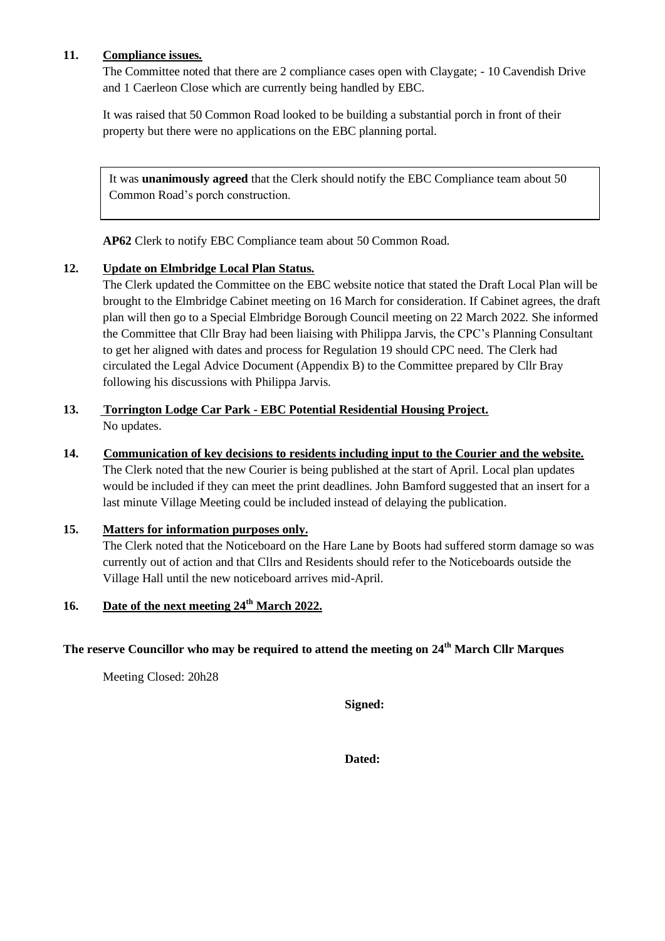## **11. Compliance issues.**

The Committee noted that there are 2 compliance cases open with Claygate; - 10 Cavendish Drive and 1 Caerleon Close which are currently being handled by EBC.

It was raised that 50 Common Road looked to be building a substantial porch in front of their property but there were no applications on the EBC planning portal.

It was **unanimously agreed** that the Clerk should notify the EBC Compliance team about 50 Common Road's porch construction.

**AP62** Clerk to notify EBC Compliance team about 50 Common Road.

## **12. Update on Elmbridge Local Plan Status.**

The Clerk updated the Committee on the EBC website notice that stated the Draft Local Plan will be brought to the Elmbridge Cabinet meeting on 16 March for consideration. If Cabinet agrees, the draft plan will then go to a Special Elmbridge Borough Council meeting on 22 March 2022. She informed the Committee that Cllr Bray had been liaising with Philippa Jarvis, the CPC's Planning Consultant to get her aligned with dates and process for Regulation 19 should CPC need. The Clerk had circulated the Legal Advice Document (Appendix B) to the Committee prepared by Cllr Bray following his discussions with Philippa Jarvis.

# **13. Torrington Lodge Car Park - EBC Potential Residential Housing Project.** No updates.

**14. Communication of key decisions to residents including input to the Courier and the website.** The Clerk noted that the new Courier is being published at the start of April. Local plan updates would be included if they can meet the print deadlines. John Bamford suggested that an insert for a last minute Village Meeting could be included instead of delaying the publication.

#### **15. Matters for information purposes only.**

The Clerk noted that the Noticeboard on the Hare Lane by Boots had suffered storm damage so was currently out of action and that Cllrs and Residents should refer to the Noticeboards outside the Village Hall until the new noticeboard arrives mid-April.

# **16. Date of the next meeting 24th March 2022.**

## **The reserve Councillor who may be required to attend the meeting on 24th March Cllr Marques**

Meeting Closed: 20h28

**Signed:**

**Dated:**